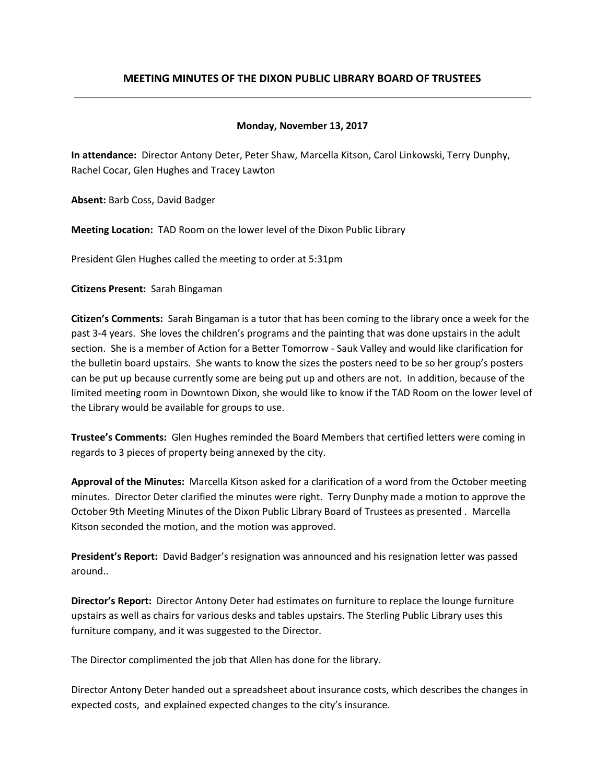# **MEETING MINUTES OF THE DIXON PUBLIC LIBRARY BOARD OF TRUSTEES**

#### **Monday, November 13, 2017**

**In attendance:** Director Antony Deter, Peter Shaw, Marcella Kitson, Carol Linkowski, Terry Dunphy, Rachel Cocar, Glen Hughes and Tracey Lawton

**Absent:** Barb Coss, David Badger

**Meeting Location:** TAD Room on the lower level of the Dixon Public Library

President Glen Hughes called the meeting to order at 5:31pm

**Citizens Present:** Sarah Bingaman

**Citizen's Comments:** Sarah Bingaman is a tutor that has been coming to the library once a week for the past 3-4 years. She loves the children's programs and the painting that was done upstairs in the adult section. She is a member of Action for a Better Tomorrow - Sauk Valley and would like clarification for the bulletin board upstairs. She wants to know the sizes the posters need to be so her group's posters can be put up because currently some are being put up and others are not. In addition, because of the limited meeting room in Downtown Dixon, she would like to know if the TAD Room on the lower level of the Library would be available for groups to use.

**Trustee's Comments:** Glen Hughes reminded the Board Members that certified letters were coming in regards to 3 pieces of property being annexed by the city.

**Approval of the Minutes:** Marcella Kitson asked for a clarification of a word from the October meeting minutes. Director Deter clarified the minutes were right. Terry Dunphy made a motion to approve the October 9th Meeting Minutes of the Dixon Public Library Board of Trustees as presented . Marcella Kitson seconded the motion, and the motion was approved.

**President's Report:** David Badger's resignation was announced and his resignation letter was passed around..

**Director's Report:** Director Antony Deter had estimates on furniture to replace the lounge furniture upstairs as well as chairs for various desks and tables upstairs. The Sterling Public Library uses this furniture company, and it was suggested to the Director.

The Director complimented the job that Allen has done for the library.

Director Antony Deter handed out a spreadsheet about insurance costs, which describes the changes in expected costs, and explained expected changes to the city's insurance.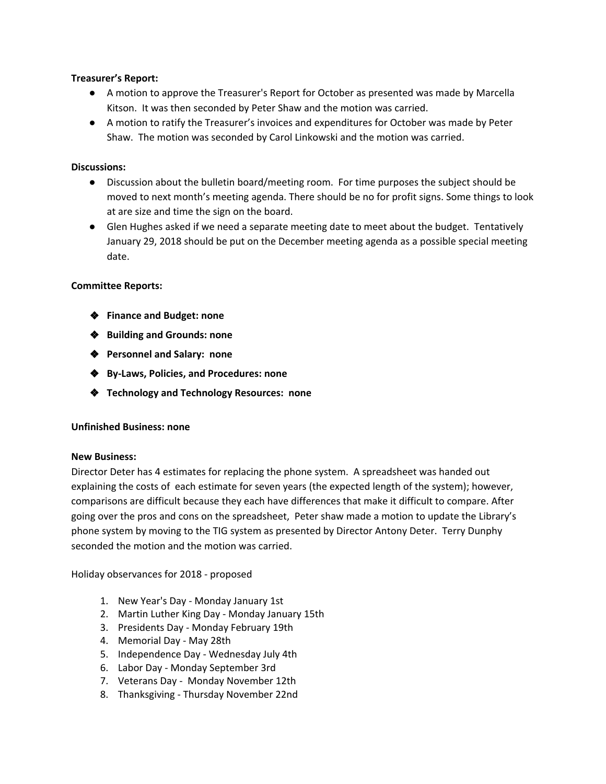## **Treasurer's Report:**

- A motion to approve the Treasurer's Report for October as presented was made by Marcella Kitson. It was then seconded by Peter Shaw and the motion was carried.
- A motion to ratify the Treasurer's invoices and expenditures for October was made by Peter Shaw. The motion was seconded by Carol Linkowski and the motion was carried.

# **Discussions:**

- **●** Discussion about the bulletin board/meeting room. For time purposes the subject should be moved to next month's meeting agenda. There should be no for profit signs. Some things to look at are size and time the sign on the board.
- **●** Glen Hughes asked if we need a separate meeting date to meet about the budget. Tentatively January 29, 2018 should be put on the December meeting agenda as a possible special meeting date.

# **Committee Reports:**

- ❖ **Finance and Budget: none**
- ❖ **Building and Grounds: none**
- ❖ **Personnel and Salary: none**
- ❖ **By-Laws, Policies, and Procedures: none**
- ❖ **Technology and Technology Resources: none**

## **Unfinished Business: none**

## **New Business:**

Director Deter has 4 estimates for replacing the phone system. A spreadsheet was handed out explaining the costs of each estimate for seven years (the expected length of the system); however, comparisons are difficult because they each have differences that make it difficult to compare. After going over the pros and cons on the spreadsheet, Peter shaw made a motion to update the Library's phone system by moving to the TIG system as presented by Director Antony Deter. Terry Dunphy seconded the motion and the motion was carried.

Holiday observances for 2018 - proposed

- 1. New Year's Day Monday January 1st
- 2. Martin Luther King Day Monday January 15th
- 3. Presidents Day Monday February 19th
- 4. Memorial Day May 28th
- 5. Independence Day Wednesday July 4th
- 6. Labor Day Monday September 3rd
- 7. Veterans Day Monday November 12th
- 8. Thanksgiving Thursday November 22nd